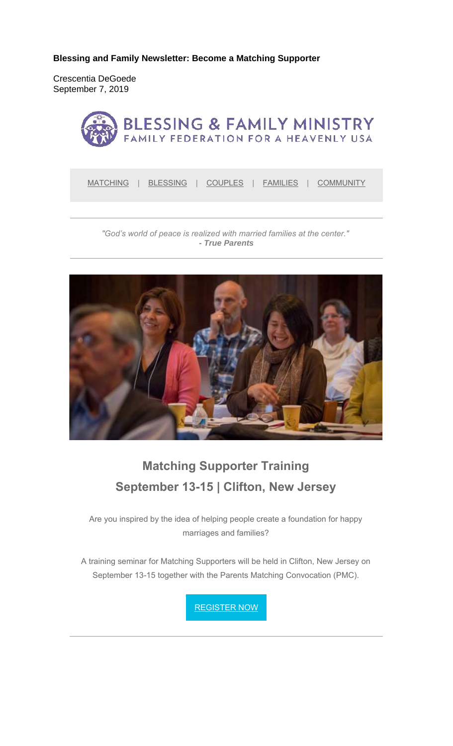**Blessing and Family Newsletter: Become a Matching Supporter** 

Crescentia DeGoede September 7, 2019



MATCHING | BLESSING | COUPLES | FAMILIES | COMMUNITY

*"God's world of peace is realized with married families at the center." - True Parents*



# **Matching Supporter Training September 13-15 | Clifton, New Jersey**

Are you inspired by the idea of helping people create a foundation for happy marriages and families?

A training seminar for Matching Supporters will be held in Clifton, New Jersey on September 13-15 together with the Parents Matching Convocation (PMC).

REGISTER NOW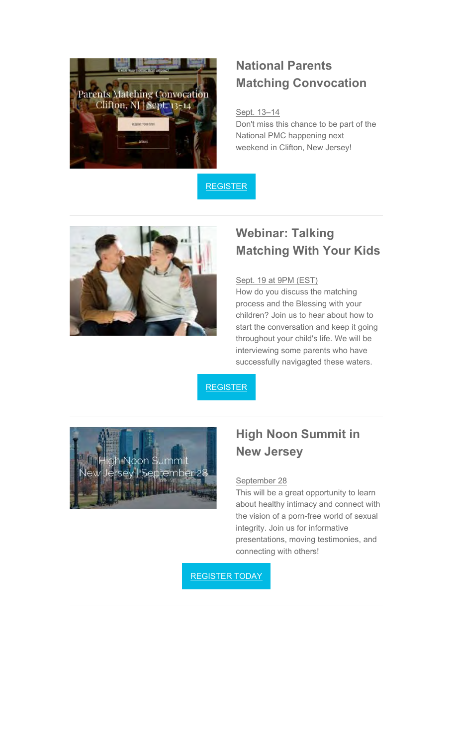

### **National Parents Matching Convocation**

#### Sept. 13–14

Don't miss this chance to be part of the National PMC happening next weekend in Clifton, New Jersey!





## **Webinar: Talking Matching With Your Kids**

#### Sept. 19 at 9PM (EST)

How do you discuss the matching process and the Blessing with your children? Join us to hear about how to start the conversation and keep it going throughout your child's life. We will be interviewing some parents who have successfully navigagted these waters.

**REGISTER** 



### **High Noon Summit in New Jersey**

#### September 28

This will be a great opportunity to learn about healthy intimacy and connect with the vision of a porn-free world of sexual integrity. Join us for informative presentations, moving testimonies, and connecting with others!

REGISTER TODAY